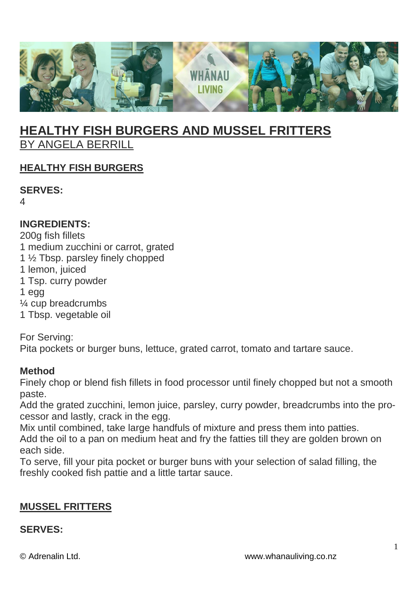

# **HEALTHY FISH BURGERS AND MUSSEL FRITTERS** BY ANGELA BERRILL

## **HEALTHY FISH BURGERS**

**SERVES:**

4

## **INGREDIENTS:**

200g fish fillets

- 1 medium zucchini or carrot, grated
- 1 ½ Tbsp. parsley finely chopped
- 1 lemon, juiced
- 1 Tsp. curry powder
- 1 egg
- ¼ cup breadcrumbs
- 1 Tbsp. vegetable oil

For Serving: Pita pockets or burger buns, lettuce, grated carrot, tomato and tartare sauce.

#### **Method**

Finely chop or blend fish fillets in food processor until finely chopped but not a smooth paste.

Add the grated zucchini, lemon juice, parsley, curry powder, breadcrumbs into the processor and lastly, crack in the egg.

Mix until combined, take large handfuls of mixture and press them into patties. Add the oil to a pan on medium heat and fry the fatties till they are golden brown on each side.

To serve, fill your pita pocket or burger buns with your selection of salad filling, the freshly cooked fish pattie and a little tartar sauce.

## **MUSSEL FRITTERS**

#### **SERVES:**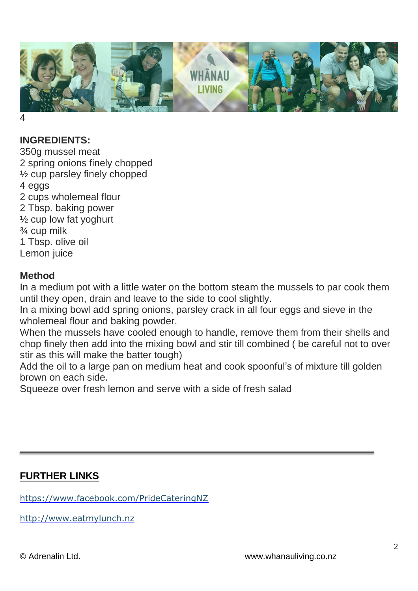

4

## **INGREDIENTS:**

350g mussel meat 2 spring onions finely chopped ½ cup parsley finely chopped 4 eggs 2 cups wholemeal flour 2 Tbsp. baking power ½ cup low fat yoghurt ¾ cup milk 1 Tbsp. olive oil Lemon juice

#### **Method**

In a medium pot with a little water on the bottom steam the mussels to par cook them until they open, drain and leave to the side to cool slightly.

In a mixing bowl add spring onions, parsley crack in all four eggs and sieve in the wholemeal flour and baking powder.

When the mussels have cooled enough to handle, remove them from their shells and chop finely then add into the mixing bowl and stir till combined ( be careful not to over stir as this will make the batter tough)

Add the oil to a large pan on medium heat and cook spoonful's of mixture till golden brown on each side.

Squeeze over fresh lemon and serve with a side of fresh salad

## **FURTHER LINKS**

<https://www.facebook.com/PrideCateringNZ>

[http://www.eatmylunch.nz](http://www.eatmylunch.nz/)